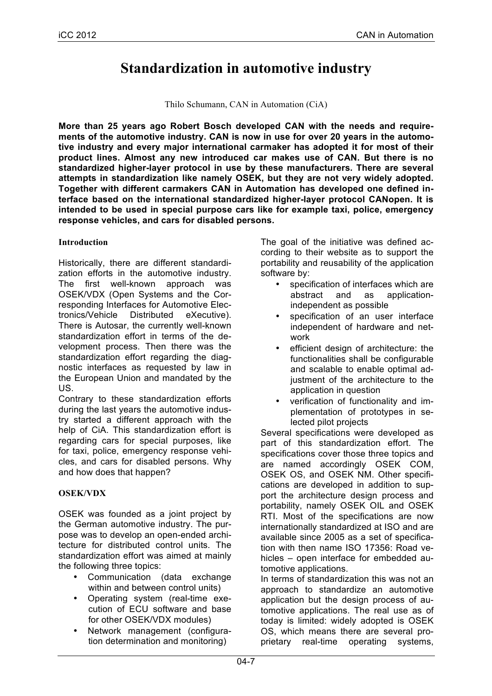# **Standardization in automotive industry**

Thilo Schumann, CAN in Automation (CiA)

**More than 25 years ago Robert Bosch developed CAN with the needs and requirements of the automotive industry. CAN is now in use for over 20 years in the automotive industry and every major international carmaker has adopted it for most of their product lines. Almost any new introduced car makes use of CAN. But there is no standardized higher-layer protocol in use by these manufacturers. There are several attempts in standardization like namely OSEK, but they are not very widely adopted. Together with different carmakers CAN in Automation has developed one defined interface based on the international standardized higher-layer protocol CANopen. It is intended to be used in special purpose cars like for example taxi, police, emergency response vehicles, and cars for disabled persons.**

#### **Introduction**

Historically, there are different standardization efforts in the automotive industry. The first well-known approach was OSEK/VDX (Open Systems and the Corresponding Interfaces for Automotive Electronics/Vehicle Distributed eXecutive). There is Autosar, the currently well-known standardization effort in terms of the development process. Then there was the standardization effort regarding the diagnostic interfaces as requested by law in the European Union and mandated by the US.

Contrary to these standardization efforts during the last years the automotive industry started a different approach with the help of CiA. This standardization effort is regarding cars for special purposes, like for taxi, police, emergency response vehicles, and cars for disabled persons. Why and how does that happen?

## **OSEK/VDX**

OSEK was founded as a joint project by the German automotive industry. The purpose was to develop an open-ended architecture for distributed control units. The standardization effort was aimed at mainly the following three topics:

- Communication (data exchange within and between control units)
- Operating system (real-time execution of ECU software and base for other OSEK/VDX modules)
- Network management (configuration determination and monitoring)

The goal of the initiative was defined according to their website as to support the portability and reusability of the application software by:

- specification of interfaces which are<br>abstract and as applicationabstract and as independent as possible
- specification of an user interface independent of hardware and network
- efficient design of architecture: the functionalities shall be configurable and scalable to enable optimal adjustment of the architecture to the application in question
- verification of functionality and implementation of prototypes in selected pilot projects

Several specifications were developed as part of this standardization effort. The specifications cover those three topics and are named accordingly OSEK COM, OSEK OS, and OSEK NM. Other specifications are developed in addition to support the architecture design process and portability, namely OSEK OIL and OSEK RTI. Most of the specifications are now internationally standardized at ISO and are available since 2005 as a set of specification with then name ISO 17356: Road vehicles – open interface for embedded automotive applications.

In terms of standardization this was not an approach to standardize an automotive application but the design process of automotive applications. The real use as of today is limited: widely adopted is OSEK OS, which means there are several proprietary real-time operating systems,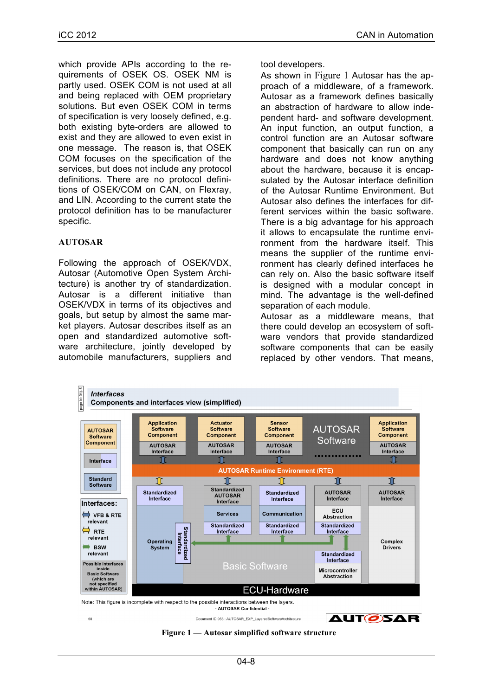which provide APIs according to the requirements of OSEK OS. OSEK NM is partly used. OSEK COM is not used at all and being replaced with OEM proprietary solutions. But even OSEK COM in terms of specification is very loosely defined, e.g. both existing byte-orders are allowed to exist and they are allowed to even exist in one message. The reason is, that OSEK COM focuses on the specification of the services, but does not include any protocol definitions. There are no protocol definitions of OSEK/COM on CAN, on Flexray, and LIN. According to the current state the protocol definition has to be manufacturer specific.

### **AUTOSAR**

Following the approach of OSEK/VDX, Autosar (Automotive Open System Architecture) is another try of standardization. Autosar is a different initiative than OSEK/VDX in terms of its objectives and goals, but setup by almost the same market players. Autosar describes itself as an open and standardized automotive software architecture, jointly developed by automobile manufacturers, suppliers and tool developers.

As shown in Figure 1 Autosar has the approach of a middleware, of a framework. Autosar as a framework defines basically an abstraction of hardware to allow independent hard- and software development. An input function, an output function, a control function are an Autosar software component that basically can run on any hardware and does not know anything about the hardware, because it is encapsulated by the Autosar interface definition of the Autosar Runtime Environment. But Autosar also defines the interfaces for different services within the basic software. There is a big advantage for his approach it allows to encapsulate the runtime environment from the hardware itself. This means the supplier of the runtime environment has clearly defined interfaces he can rely on. Also the basic software itself is designed with a modular concept in mind. The advantage is the well-defined separation of each module.

Autosar as a middleware means, that there could develop an ecosystem of software vendors that provide standardized software components that can be easily replaced by other vendors. That means,



**Figure 1 — Autosar simplified software structure**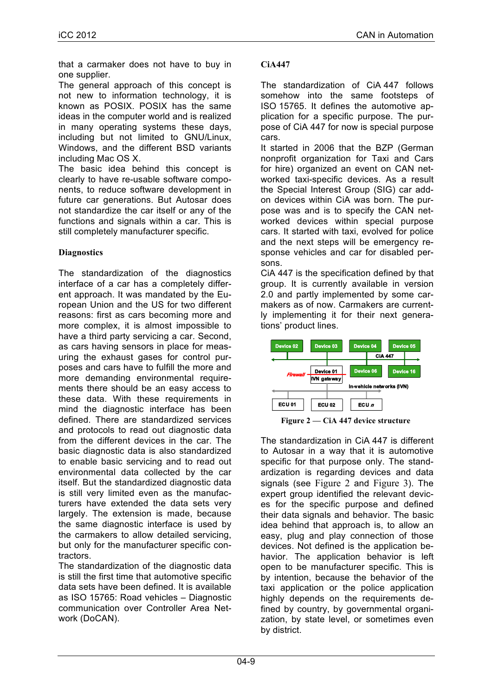that a carmaker does not have to buy in one supplier.

The general approach of this concept is not new to information technology, it is known as POSIX. POSIX has the same ideas in the computer world and is realized in many operating systems these days, including but not limited to GNU/Linux, Windows, and the different BSD variants including Mac OS X.

The basic idea behind this concept is clearly to have re-usable software components, to reduce software development in future car generations. But Autosar does not standardize the car itself or any of the functions and signals within a car. This is still completely manufacturer specific.

## **Diagnostics**

The standardization of the diagnostics interface of a car has a completely different approach. It was mandated by the European Union and the US for two different reasons: first as cars becoming more and more complex, it is almost impossible to have a third party servicing a car. Second, as cars having sensors in place for measuring the exhaust gases for control purposes and cars have to fulfill the more and more demanding environmental requirements there should be an easy access to these data. With these requirements in mind the diagnostic interface has been defined. There are standardized services and protocols to read out diagnostic data from the different devices in the car. The basic diagnostic data is also standardized to enable basic servicing and to read out environmental data collected by the car itself. But the standardized diagnostic data is still very limited even as the manufacturers have extended the data sets very largely. The extension is made, because the same diagnostic interface is used by the carmakers to allow detailed servicing, but only for the manufacturer specific contractors.

The standardization of the diagnostic data is still the first time that automotive specific data sets have been defined. It is available as ISO 15765: Road vehicles – Diagnostic communication over Controller Area Network (DoCAN).

## **CiA447**

The standardization of CiA 447 follows somehow into the same footsteps of ISO 15765. It defines the automotive application for a specific purpose. The purpose of CiA 447 for now is special purpose cars.

It started in 2006 that the BZP (German nonprofit organization for Taxi and Cars for hire) organized an event on CAN networked taxi-specific devices. As a result the Special Interest Group (SIG) car addon devices within CiA was born. The purpose was and is to specify the CAN networked devices within special purpose cars. It started with taxi, evolved for police and the next steps will be emergency response vehicles and car for disabled persons.

CiA 447 is the specification defined by that group. It is currently available in version 2.0 and partly implemented by some carmakers as of now. Carmakers are currently implementing it for their next generations' product lines.





The standardization in CiA 447 is different to Autosar in a way that it is automotive specific for that purpose only. The standardization is regarding devices and data signals (see Figure 2 and Figure 3). The expert group identified the relevant devices for the specific purpose and defined their data signals and behavior. The basic idea behind that approach is, to allow an easy, plug and play connection of those devices. Not defined is the application behavior. The application behavior is left open to be manufacturer specific. This is by intention, because the behavior of the taxi application or the police application highly depends on the requirements defined by country, by governmental organization, by state level, or sometimes even by district.